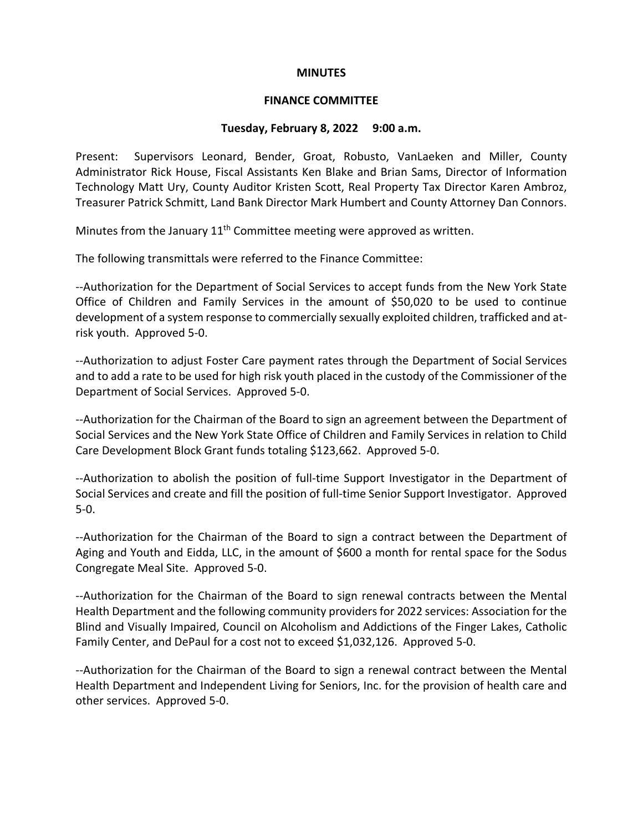## **MINUTES**

## **FINANCE COMMITTEE**

## **Tuesday, February 8, 2022 9:00 a.m.**

Present: Supervisors Leonard, Bender, Groat, Robusto, VanLaeken and Miller, County Administrator Rick House, Fiscal Assistants Ken Blake and Brian Sams, Director of Information Technology Matt Ury, County Auditor Kristen Scott, Real Property Tax Director Karen Ambroz, Treasurer Patrick Schmitt, Land Bank Director Mark Humbert and County Attorney Dan Connors.

Minutes from the January  $11<sup>th</sup>$  Committee meeting were approved as written.

The following transmittals were referred to the Finance Committee:

--Authorization for the Department of Social Services to accept funds from the New York State Office of Children and Family Services in the amount of \$50,020 to be used to continue development of a system response to commercially sexually exploited children, trafficked and atrisk youth. Approved 5-0.

--Authorization to adjust Foster Care payment rates through the Department of Social Services and to add a rate to be used for high risk youth placed in the custody of the Commissioner of the Department of Social Services. Approved 5-0.

--Authorization for the Chairman of the Board to sign an agreement between the Department of Social Services and the New York State Office of Children and Family Services in relation to Child Care Development Block Grant funds totaling \$123,662. Approved 5-0.

--Authorization to abolish the position of full-time Support Investigator in the Department of Social Services and create and fill the position of full-time Senior Support Investigator. Approved 5-0.

--Authorization for the Chairman of the Board to sign a contract between the Department of Aging and Youth and Eidda, LLC, in the amount of \$600 a month for rental space for the Sodus Congregate Meal Site. Approved 5-0.

--Authorization for the Chairman of the Board to sign renewal contracts between the Mental Health Department and the following community providers for 2022 services: Association for the Blind and Visually Impaired, Council on Alcoholism and Addictions of the Finger Lakes, Catholic Family Center, and DePaul for a cost not to exceed \$1,032,126. Approved 5-0.

--Authorization for the Chairman of the Board to sign a renewal contract between the Mental Health Department and Independent Living for Seniors, Inc. for the provision of health care and other services. Approved 5-0.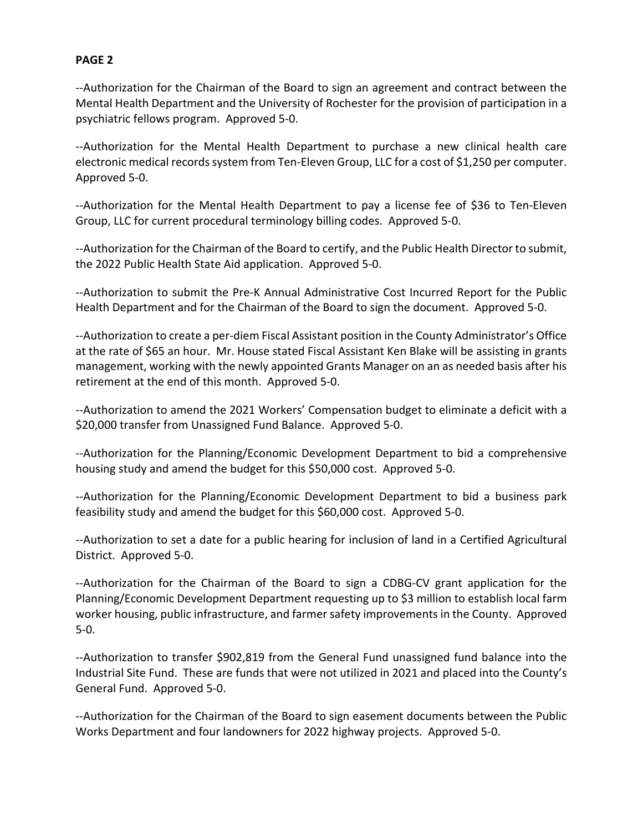--Authorization for the Chairman of the Board to sign an agreement and contract between the Mental Health Department and the University of Rochester for the provision of participation in a psychiatric fellows program. Approved 5-0.

--Authorization for the Mental Health Department to purchase a new clinical health care electronic medical records system from Ten-Eleven Group, LLC for a cost of \$1,250 per computer. Approved 5-0.

--Authorization for the Mental Health Department to pay a license fee of \$36 to Ten-Eleven Group, LLC for current procedural terminology billing codes. Approved 5-0.

--Authorization for the Chairman of the Board to certify, and the Public Health Director to submit, the 2022 Public Health State Aid application. Approved 5-0.

--Authorization to submit the Pre-K Annual Administrative Cost Incurred Report for the Public Health Department and for the Chairman of the Board to sign the document. Approved 5-0.

--Authorization to create a per-diem Fiscal Assistant position in the County Administrator's Office at the rate of \$65 an hour. Mr. House stated Fiscal Assistant Ken Blake will be assisting in grants management, working with the newly appointed Grants Manager on an as needed basis after his retirement at the end of this month. Approved 5-0.

--Authorization to amend the 2021 Workers' Compensation budget to eliminate a deficit with a \$20,000 transfer from Unassigned Fund Balance. Approved 5-0.

--Authorization for the Planning/Economic Development Department to bid a comprehensive housing study and amend the budget for this \$50,000 cost. Approved 5-0.

--Authorization for the Planning/Economic Development Department to bid a business park feasibility study and amend the budget for this \$60,000 cost. Approved 5-0.

--Authorization to set a date for a public hearing for inclusion of land in a Certified Agricultural District. Approved 5-0.

--Authorization for the Chairman of the Board to sign a CDBG-CV grant application for the Planning/Economic Development Department requesting up to \$3 million to establish local farm worker housing, public infrastructure, and farmer safety improvements in the County. Approved 5-0.

--Authorization to transfer \$902,819 from the General Fund unassigned fund balance into the Industrial Site Fund. These are funds that were not utilized in 2021 and placed into the County's General Fund. Approved 5-0.

--Authorization for the Chairman of the Board to sign easement documents between the Public Works Department and four landowners for 2022 highway projects. Approved 5-0.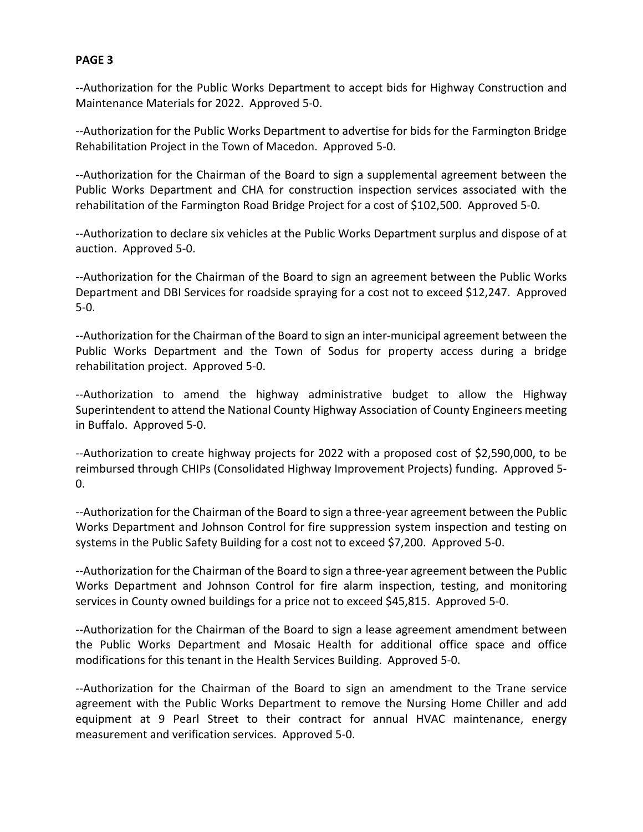--Authorization for the Public Works Department to accept bids for Highway Construction and Maintenance Materials for 2022. Approved 5-0.

--Authorization for the Public Works Department to advertise for bids for the Farmington Bridge Rehabilitation Project in the Town of Macedon. Approved 5-0.

--Authorization for the Chairman of the Board to sign a supplemental agreement between the Public Works Department and CHA for construction inspection services associated with the rehabilitation of the Farmington Road Bridge Project for a cost of \$102,500. Approved 5-0.

--Authorization to declare six vehicles at the Public Works Department surplus and dispose of at auction. Approved 5-0.

--Authorization for the Chairman of the Board to sign an agreement between the Public Works Department and DBI Services for roadside spraying for a cost not to exceed \$12,247. Approved 5-0.

--Authorization for the Chairman of the Board to sign an inter-municipal agreement between the Public Works Department and the Town of Sodus for property access during a bridge rehabilitation project. Approved 5-0.

--Authorization to amend the highway administrative budget to allow the Highway Superintendent to attend the National County Highway Association of County Engineers meeting in Buffalo. Approved 5-0.

--Authorization to create highway projects for 2022 with a proposed cost of \$2,590,000, to be reimbursed through CHIPs (Consolidated Highway Improvement Projects) funding. Approved 5-  $0.$ 

--Authorization for the Chairman of the Board to sign a three-year agreement between the Public Works Department and Johnson Control for fire suppression system inspection and testing on systems in the Public Safety Building for a cost not to exceed \$7,200. Approved 5-0.

--Authorization for the Chairman of the Board to sign a three-year agreement between the Public Works Department and Johnson Control for fire alarm inspection, testing, and monitoring services in County owned buildings for a price not to exceed \$45,815. Approved 5-0.

--Authorization for the Chairman of the Board to sign a lease agreement amendment between the Public Works Department and Mosaic Health for additional office space and office modifications for this tenant in the Health Services Building. Approved 5-0.

--Authorization for the Chairman of the Board to sign an amendment to the Trane service agreement with the Public Works Department to remove the Nursing Home Chiller and add equipment at 9 Pearl Street to their contract for annual HVAC maintenance, energy measurement and verification services. Approved 5-0.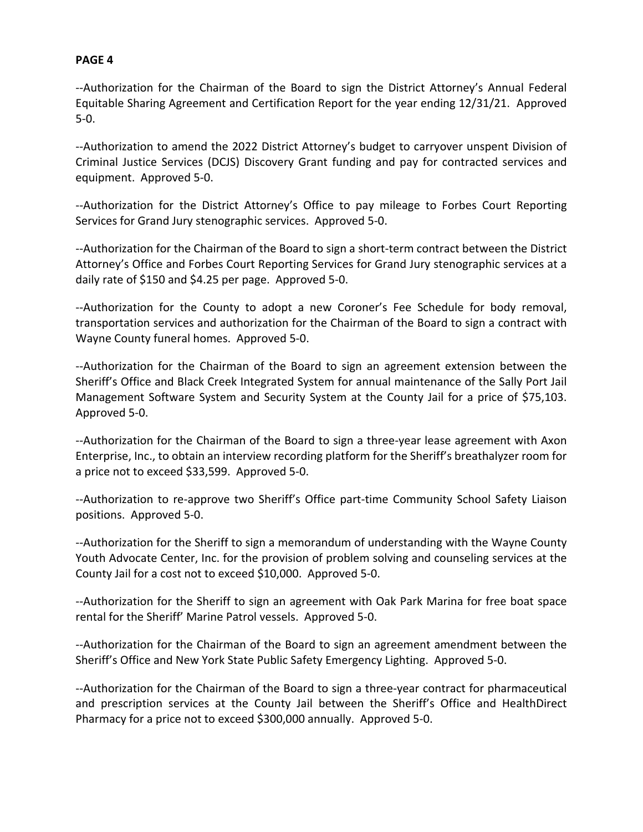--Authorization for the Chairman of the Board to sign the District Attorney's Annual Federal Equitable Sharing Agreement and Certification Report for the year ending 12/31/21. Approved 5-0.

--Authorization to amend the 2022 District Attorney's budget to carryover unspent Division of Criminal Justice Services (DCJS) Discovery Grant funding and pay for contracted services and equipment. Approved 5-0.

--Authorization for the District Attorney's Office to pay mileage to Forbes Court Reporting Services for Grand Jury stenographic services. Approved 5-0.

--Authorization for the Chairman of the Board to sign a short-term contract between the District Attorney's Office and Forbes Court Reporting Services for Grand Jury stenographic services at a daily rate of \$150 and \$4.25 per page. Approved 5-0.

--Authorization for the County to adopt a new Coroner's Fee Schedule for body removal, transportation services and authorization for the Chairman of the Board to sign a contract with Wayne County funeral homes. Approved 5-0.

--Authorization for the Chairman of the Board to sign an agreement extension between the Sheriff's Office and Black Creek Integrated System for annual maintenance of the Sally Port Jail Management Software System and Security System at the County Jail for a price of \$75,103. Approved 5-0.

--Authorization for the Chairman of the Board to sign a three-year lease agreement with Axon Enterprise, Inc., to obtain an interview recording platform for the Sheriff's breathalyzer room for a price not to exceed \$33,599. Approved 5-0.

--Authorization to re-approve two Sheriff's Office part-time Community School Safety Liaison positions. Approved 5-0.

--Authorization for the Sheriff to sign a memorandum of understanding with the Wayne County Youth Advocate Center, Inc. for the provision of problem solving and counseling services at the County Jail for a cost not to exceed \$10,000. Approved 5-0.

--Authorization for the Sheriff to sign an agreement with Oak Park Marina for free boat space rental for the Sheriff' Marine Patrol vessels. Approved 5-0.

--Authorization for the Chairman of the Board to sign an agreement amendment between the Sheriff's Office and New York State Public Safety Emergency Lighting. Approved 5-0.

--Authorization for the Chairman of the Board to sign a three-year contract for pharmaceutical and prescription services at the County Jail between the Sheriff's Office and HealthDirect Pharmacy for a price not to exceed \$300,000 annually. Approved 5-0.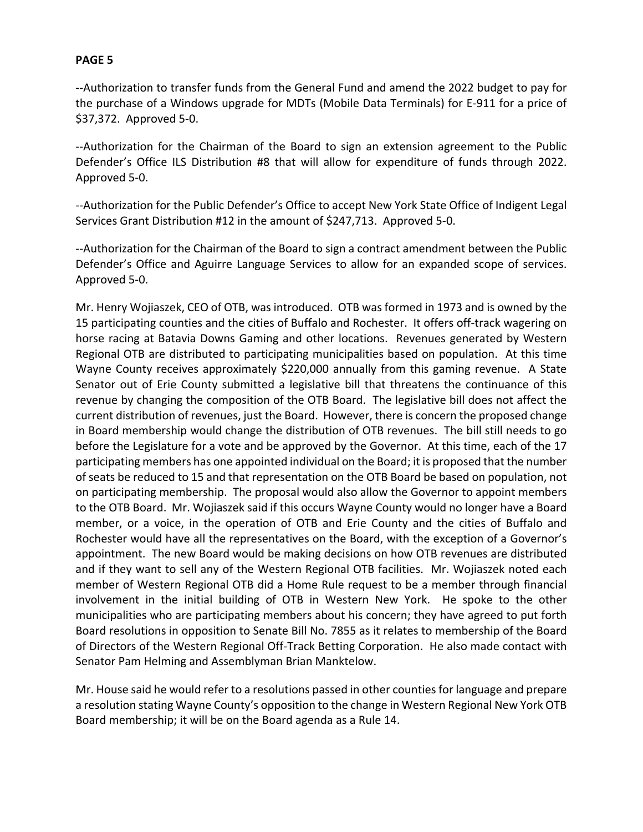--Authorization to transfer funds from the General Fund and amend the 2022 budget to pay for the purchase of a Windows upgrade for MDTs (Mobile Data Terminals) for E-911 for a price of \$37,372. Approved 5-0.

--Authorization for the Chairman of the Board to sign an extension agreement to the Public Defender's Office ILS Distribution #8 that will allow for expenditure of funds through 2022. Approved 5-0.

--Authorization for the Public Defender's Office to accept New York State Office of Indigent Legal Services Grant Distribution #12 in the amount of \$247,713. Approved 5-0.

--Authorization for the Chairman of the Board to sign a contract amendment between the Public Defender's Office and Aguirre Language Services to allow for an expanded scope of services. Approved 5-0.

Mr. Henry Wojiaszek, CEO of OTB, was introduced. OTB was formed in 1973 and is owned by the 15 participating counties and the cities of Buffalo and Rochester. It offers off-track wagering on horse racing at Batavia Downs Gaming and other locations. Revenues generated by Western Regional OTB are distributed to participating municipalities based on population. At this time Wayne County receives approximately \$220,000 annually from this gaming revenue. A State Senator out of Erie County submitted a legislative bill that threatens the continuance of this revenue by changing the composition of the OTB Board. The legislative bill does not affect the current distribution of revenues, just the Board. However, there is concern the proposed change in Board membership would change the distribution of OTB revenues. The bill still needs to go before the Legislature for a vote and be approved by the Governor. At this time, each of the 17 participating members has one appointed individual on the Board; it is proposed that the number of seats be reduced to 15 and that representation on the OTB Board be based on population, not on participating membership. The proposal would also allow the Governor to appoint members to the OTB Board. Mr. Wojiaszek said if this occurs Wayne County would no longer have a Board member, or a voice, in the operation of OTB and Erie County and the cities of Buffalo and Rochester would have all the representatives on the Board, with the exception of a Governor's appointment. The new Board would be making decisions on how OTB revenues are distributed and if they want to sell any of the Western Regional OTB facilities. Mr. Wojiaszek noted each member of Western Regional OTB did a Home Rule request to be a member through financial involvement in the initial building of OTB in Western New York. He spoke to the other municipalities who are participating members about his concern; they have agreed to put forth Board resolutions in opposition to Senate Bill No. 7855 as it relates to membership of the Board of Directors of the Western Regional Off-Track Betting Corporation. He also made contact with Senator Pam Helming and Assemblyman Brian Manktelow.

Mr. House said he would refer to a resolutions passed in other counties for language and prepare a resolution stating Wayne County's opposition to the change in Western Regional New York OTB Board membership; it will be on the Board agenda as a Rule 14.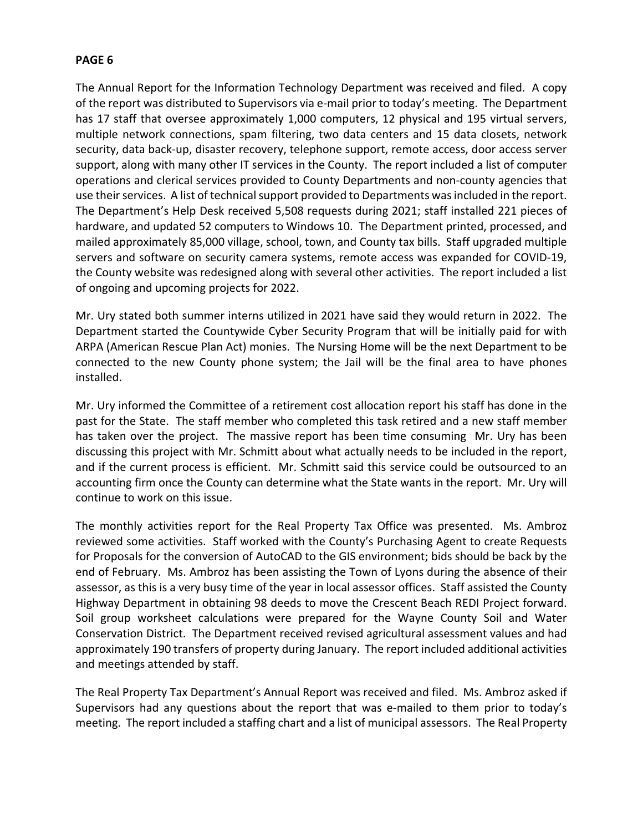The Annual Report for the Information Technology Department was received and filed. A copy of the report was distributed to Supervisors via e-mail prior to today's meeting. The Department has 17 staff that oversee approximately 1,000 computers, 12 physical and 195 virtual servers, multiple network connections, spam filtering, two data centers and 15 data closets, network security, data back-up, disaster recovery, telephone support, remote access, door access server support, along with many other IT services in the County. The report included a list of computer operations and clerical services provided to County Departments and non-county agencies that use their services. A list of technical support provided to Departments was included in the report. The Department's Help Desk received 5,508 requests during 2021; staff installed 221 pieces of hardware, and updated 52 computers to Windows 10. The Department printed, processed, and mailed approximately 85,000 village, school, town, and County tax bills. Staff upgraded multiple servers and software on security camera systems, remote access was expanded for COVID-19, the County website was redesigned along with several other activities. The report included a list of ongoing and upcoming projects for 2022.

Mr. Ury stated both summer interns utilized in 2021 have said they would return in 2022. The Department started the Countywide Cyber Security Program that will be initially paid for with ARPA (American Rescue Plan Act) monies. The Nursing Home will be the next Department to be connected to the new County phone system; the Jail will be the final area to have phones installed.

Mr. Ury informed the Committee of a retirement cost allocation report his staff has done in the past for the State. The staff member who completed this task retired and a new staff member has taken over the project. The massive report has been time consuming Mr. Ury has been discussing this project with Mr. Schmitt about what actually needs to be included in the report, and if the current process is efficient. Mr. Schmitt said this service could be outsourced to an accounting firm once the County can determine what the State wants in the report. Mr. Ury will continue to work on this issue.

The monthly activities report for the Real Property Tax Office was presented. Ms. Ambroz reviewed some activities. Staff worked with the County's Purchasing Agent to create Requests for Proposals for the conversion of AutoCAD to the GIS environment; bids should be back by the end of February. Ms. Ambroz has been assisting the Town of Lyons during the absence of their assessor, as this is a very busy time of the year in local assessor offices. Staff assisted the County Highway Department in obtaining 98 deeds to move the Crescent Beach REDI Project forward. Soil group worksheet calculations were prepared for the Wayne County Soil and Water Conservation District. The Department received revised agricultural assessment values and had approximately 190 transfers of property during January. The report included additional activities and meetings attended by staff.

The Real Property Tax Department's Annual Report was received and filed. Ms. Ambroz asked if Supervisors had any questions about the report that was e-mailed to them prior to today's meeting. The report included a staffing chart and a list of municipal assessors. The Real Property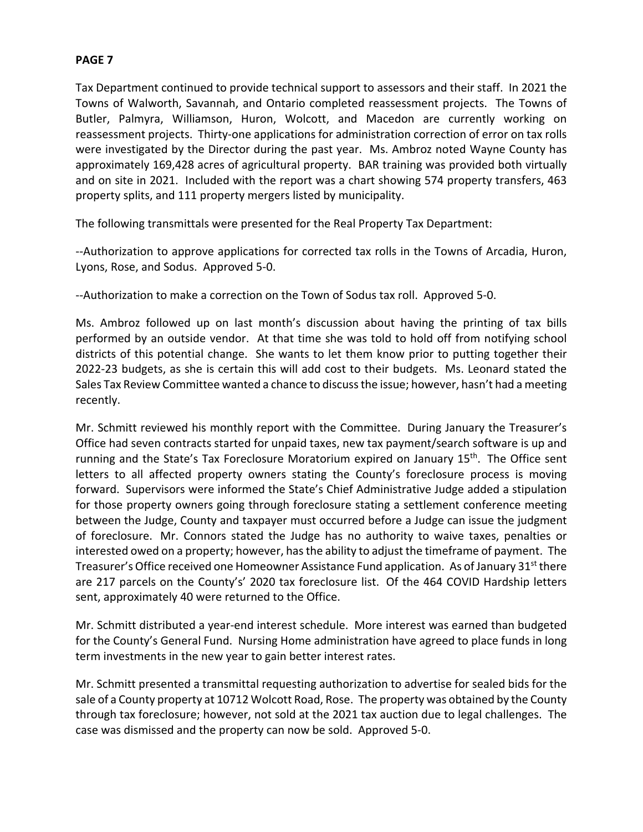Tax Department continued to provide technical support to assessors and their staff. In 2021 the Towns of Walworth, Savannah, and Ontario completed reassessment projects. The Towns of Butler, Palmyra, Williamson, Huron, Wolcott, and Macedon are currently working on reassessment projects. Thirty-one applications for administration correction of error on tax rolls were investigated by the Director during the past year. Ms. Ambroz noted Wayne County has approximately 169,428 acres of agricultural property. BAR training was provided both virtually and on site in 2021. Included with the report was a chart showing 574 property transfers, 463 property splits, and 111 property mergers listed by municipality.

The following transmittals were presented for the Real Property Tax Department:

--Authorization to approve applications for corrected tax rolls in the Towns of Arcadia, Huron, Lyons, Rose, and Sodus. Approved 5-0.

--Authorization to make a correction on the Town of Sodus tax roll. Approved 5-0.

Ms. Ambroz followed up on last month's discussion about having the printing of tax bills performed by an outside vendor. At that time she was told to hold off from notifying school districts of this potential change. She wants to let them know prior to putting together their 2022-23 budgets, as she is certain this will add cost to their budgets. Ms. Leonard stated the Sales Tax Review Committee wanted a chance to discuss the issue; however, hasn't had a meeting recently.

Mr. Schmitt reviewed his monthly report with the Committee. During January the Treasurer's Office had seven contracts started for unpaid taxes, new tax payment/search software is up and running and the State's Tax Foreclosure Moratorium expired on January 15<sup>th</sup>. The Office sent letters to all affected property owners stating the County's foreclosure process is moving forward. Supervisors were informed the State's Chief Administrative Judge added a stipulation for those property owners going through foreclosure stating a settlement conference meeting between the Judge, County and taxpayer must occurred before a Judge can issue the judgment of foreclosure. Mr. Connors stated the Judge has no authority to waive taxes, penalties or interested owed on a property; however, has the ability to adjust the timeframe of payment. The Treasurer's Office received one Homeowner Assistance Fund application. As of January 31<sup>st</sup> there are 217 parcels on the County's' 2020 tax foreclosure list. Of the 464 COVID Hardship letters sent, approximately 40 were returned to the Office.

Mr. Schmitt distributed a year-end interest schedule. More interest was earned than budgeted for the County's General Fund. Nursing Home administration have agreed to place funds in long term investments in the new year to gain better interest rates.

Mr. Schmitt presented a transmittal requesting authorization to advertise for sealed bids for the sale of a County property at 10712 Wolcott Road, Rose. The property was obtained by the County through tax foreclosure; however, not sold at the 2021 tax auction due to legal challenges. The case was dismissed and the property can now be sold. Approved 5-0.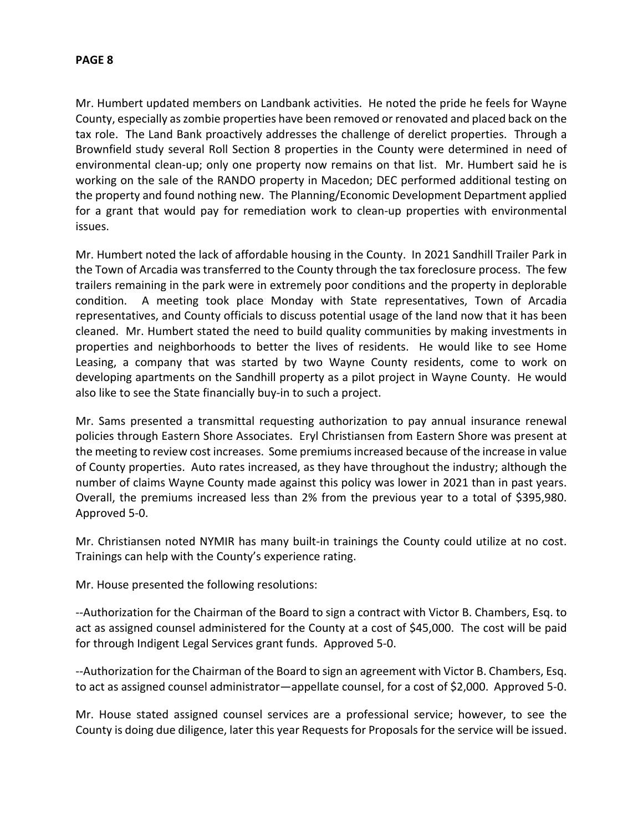Mr. Humbert updated members on Landbank activities. He noted the pride he feels for Wayne County, especially as zombie properties have been removed or renovated and placed back on the tax role. The Land Bank proactively addresses the challenge of derelict properties. Through a Brownfield study several Roll Section 8 properties in the County were determined in need of environmental clean-up; only one property now remains on that list. Mr. Humbert said he is working on the sale of the RANDO property in Macedon; DEC performed additional testing on the property and found nothing new. The Planning/Economic Development Department applied for a grant that would pay for remediation work to clean-up properties with environmental issues.

Mr. Humbert noted the lack of affordable housing in the County. In 2021 Sandhill Trailer Park in the Town of Arcadia was transferred to the County through the tax foreclosure process. The few trailers remaining in the park were in extremely poor conditions and the property in deplorable condition. A meeting took place Monday with State representatives, Town of Arcadia representatives, and County officials to discuss potential usage of the land now that it has been cleaned. Mr. Humbert stated the need to build quality communities by making investments in properties and neighborhoods to better the lives of residents. He would like to see Home Leasing, a company that was started by two Wayne County residents, come to work on developing apartments on the Sandhill property as a pilot project in Wayne County. He would also like to see the State financially buy-in to such a project.

Mr. Sams presented a transmittal requesting authorization to pay annual insurance renewal policies through Eastern Shore Associates. Eryl Christiansen from Eastern Shore was present at the meeting to review cost increases. Some premiums increased because of the increase in value of County properties. Auto rates increased, as they have throughout the industry; although the number of claims Wayne County made against this policy was lower in 2021 than in past years. Overall, the premiums increased less than 2% from the previous year to a total of \$395,980. Approved 5-0.

Mr. Christiansen noted NYMIR has many built-in trainings the County could utilize at no cost. Trainings can help with the County's experience rating.

Mr. House presented the following resolutions:

--Authorization for the Chairman of the Board to sign a contract with Victor B. Chambers, Esq. to act as assigned counsel administered for the County at a cost of \$45,000. The cost will be paid for through Indigent Legal Services grant funds. Approved 5-0.

--Authorization for the Chairman of the Board to sign an agreement with Victor B. Chambers, Esq. to act as assigned counsel administrator—appellate counsel, for a cost of \$2,000. Approved 5-0.

Mr. House stated assigned counsel services are a professional service; however, to see the County is doing due diligence, later this year Requests for Proposals for the service will be issued.